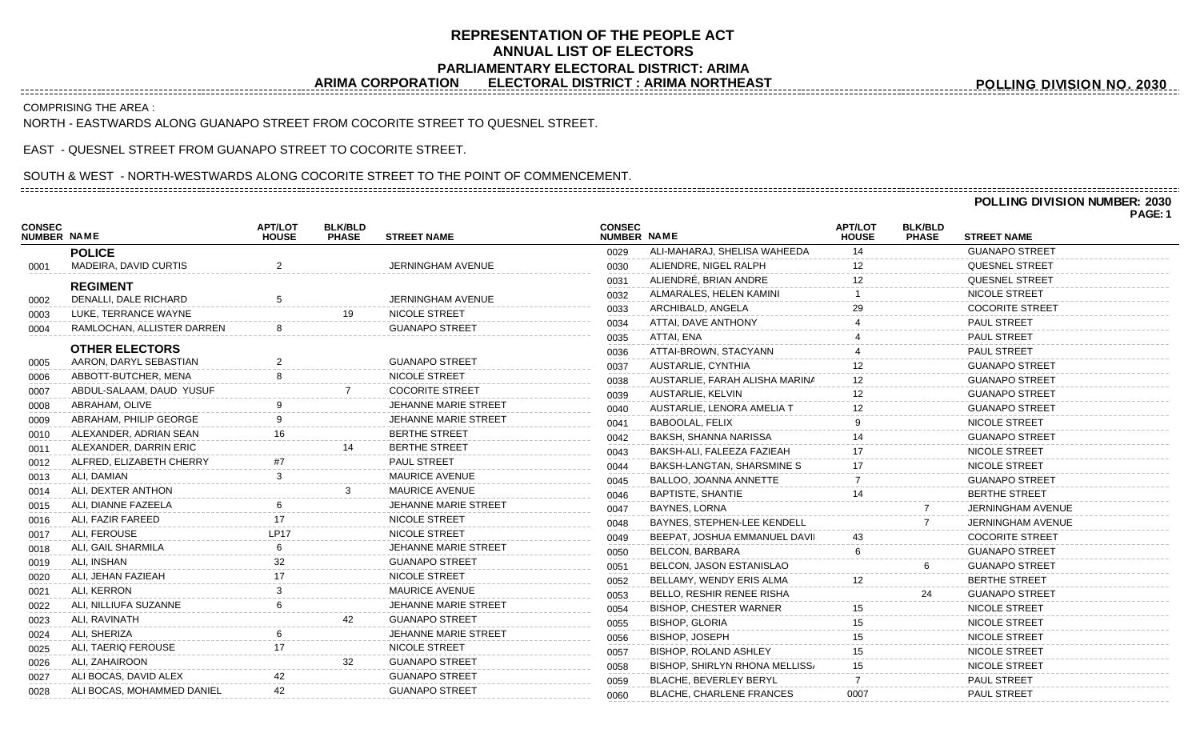## **REPRESENTATION OF THE PEOPLE ACT ANNUAL LIST OF ELECTORS PARLIAMENTARY ELECTORAL DISTRICT: ARIMA**<br>ARIMA CORPORATION ELECTORAL DISTRICT : ARIMA NORTHEA

**ELECTORAL DISTRICT : ARIMA NORTHEAST** 

COMPRISING THE AREA :

NORTH - EASTWARDS ALONG GUANAPO STREET FROM COCORITE STREET TO QUESNEL STREET.

EAST - QUESNEL STREET FROM GUANAPO STREET TO COCORITE STREET.

## SOUTH & WEST - NORTH-WESTWARDS ALONG COCORITE STREET TO THE POINT OF COMMENCEMENT.

## **POLLING DIVISION NUMBER: 2030**

**POLLING DIVISION NO. 2030**

**PAGE: 1**

|                              |                            |                                |                                |                             |                              |                                       |                                |                                |                        | . ער ה |
|------------------------------|----------------------------|--------------------------------|--------------------------------|-----------------------------|------------------------------|---------------------------------------|--------------------------------|--------------------------------|------------------------|--------|
| <b>CONSEC</b><br>NUMBER NAME |                            | <b>APT/LOT</b><br><b>HOUSE</b> | <b>BLK/BLD</b><br><b>PHASE</b> | <b>STREET NAME</b>          | <b>CONSEC</b><br>NUMBER NAME |                                       | <b>APT/LOT</b><br><b>HOUSE</b> | <b>BLK/BLD</b><br><b>PHASE</b> | <b>STREET NAME</b>     |        |
|                              | <b>POLICE</b>              |                                |                                |                             | 0029                         | ALI-MAHARAJ, SHELISA WAHEEDA          | 14                             |                                | <b>GUANAPO STREET</b>  |        |
| 0001                         | MADEIRA, DAVID CURTIS      | $\overline{2}$                 |                                | JERNINGHAM AVENUE           | 0030                         | ALIENDRE, NIGEL RALPH                 | 12                             |                                | <b>QUESNEL STREET</b>  |        |
|                              | <b>REGIMENT</b>            |                                |                                |                             | 0031                         | ALIENDRÉ, BRIAN ANDRE                 |                                |                                | <b>QUESNEL STREET</b>  |        |
| 0002                         | DENALLI, DALE RICHARD      | .5                             |                                | JERNINGHAM AVENUE           | 0032                         | ALMARALES, HELEN KAMINI               |                                |                                | NICOLE STREET          |        |
| 0003                         | LUKE, TERRANCE WAYNE       |                                | 19                             | NICOLE STREET               | 0033                         | ARCHIBALD, ANGELA                     |                                |                                | <b>COCORITE STREET</b> |        |
| 0004                         | RAMLOCHAN, ALLISTER DARREN |                                |                                | <b>GUANAPO STREET</b>       | 0034                         | ATTAI, DAVE ANTHONY                   |                                |                                | <b>PAUL STREET</b>     |        |
|                              |                            |                                |                                |                             | 0035                         | ATTAI, ENA                            |                                |                                | <b>PAUL STREET</b>     |        |
|                              | <b>OTHER ELECTORS</b>      |                                |                                |                             | 0036                         | ATTAI-BROWN, STACYANN                 |                                |                                | <b>PAUL STREET</b>     |        |
| 0005                         | AARON, DARYL SEBASTIAN     |                                |                                | <b>GUANAPO STREET</b>       | 0037                         | AUSTARLIE, CYNTHIA                    | 12                             |                                | <b>GUANAPO STREET</b>  |        |
| 0006                         | ABBOTT-BUTCHER, MENA       |                                |                                | NICOLE STREET               | 0038                         | AUSTARLIE, FARAH ALISHA MARINA        | 12 <sup>°</sup>                |                                | <b>GUANAPO STREET</b>  |        |
| 0007                         | ABDUL-SALAAM, DAUD YUSUF   |                                |                                | <b>COCORITE STREET</b>      | 0039                         | AUSTARLIE, KELVIN                     | 12                             |                                | <b>GUANAPO STREET</b>  |        |
| 0008                         | ABRAHAM, OLIVE             |                                |                                | JEHANNE MARIE STREET        | 0040                         | AUSTARLIE, LENORA AMELIA T            | 12                             |                                | <b>GUANAPO STREET</b>  |        |
| 0009                         | ABRAHAM, PHILIP GEORGE     |                                |                                | JEHANNE MARIE STREET        | 0041                         | <b>BABOOLAL, FELIX</b>                |                                |                                | NICOLE STREET          |        |
| 0010                         | ALEXANDER, ADRIAN SEAN     | 16                             |                                | <b>BERTHE STREET</b>        | 0042                         | BAKSH, SHANNA NARISSA                 |                                |                                | <b>GUANAPO STREET</b>  |        |
| 0011                         | ALEXANDER, DARRIN ERIC     |                                |                                | <b>BERTHE STREET</b>        | 0043                         | BAKSH-ALI, FALEEZA FAZIEAH            |                                |                                | NICOLE STREET          |        |
| 0012                         | ALFRED, ELIZABETH CHERRY   |                                |                                | <b>PAUL STREET</b>          | 0044                         | BAKSH-LANGTAN, SHARSMINE S            | 17                             |                                | NICOLE STREET          |        |
| 0013                         | ALI, DAMIAN                |                                |                                | <b>MAURICE AVENUE</b>       | 0045                         | BALLOO, JOANNA ANNETTE                |                                |                                | <b>GUANAPO STREET</b>  |        |
| 0014                         | ALI, DEXTER ANTHON         |                                |                                | <b>MAURICE AVENUE</b>       | 0046                         | <b>BAPTISTE, SHANTIE</b>              | 14                             |                                | <b>BERTHE STREET</b>   |        |
| 0015                         | ALI, DIANNE FAZEELA        |                                |                                | <b>JEHANNE MARIE STREET</b> | 0047                         | BAYNES, LORNA                         |                                |                                | JERNINGHAM AVENUE      |        |
| 0016                         | ALI, FAZIR FAREED          | 17                             |                                | NICOLE STREET               | 0048                         | BAYNES, STEPHEN-LEE KENDELL           |                                |                                | JERNINGHAM AVENUE      |        |
| 0017                         | ALI, FEROUSE               | <b>LP17</b>                    |                                | NICOLE STREET               | 0049                         | BEEPAT, JOSHUA EMMANUEL DAVII         |                                |                                | <b>COCORITE STREET</b> |        |
| 0018                         | ALI, GAIL SHARMILA         | -6                             |                                | JEHANNE MARIE STREET        | 0050                         | BELCON, BARBARA                       |                                |                                | <b>GUANAPO STREET</b>  |        |
| 0019                         | ALI, INSHAN                | 32                             |                                | <b>GUANAPO STREET</b>       | 0051                         | BELCON, JASON ESTANISLAO              |                                |                                | <b>GUANAPO STREET</b>  |        |
| 0020                         | ALI, JEHAN FAZIEAH         |                                |                                | NICOLE STREET               | 0052                         | BELLAMY, WENDY ERIS ALMA              |                                |                                | <b>BERTHE STREET</b>   |        |
| 0021                         | ALI, KERRON                |                                |                                | <b>MAURICE AVENUE</b>       | 0053                         | BELLO, RESHIR RENEE RISHA             |                                | 24                             | <b>GUANAPO STREET</b>  |        |
| 0022                         | ALI, NILLIUFA SUZANNE      |                                |                                | JEHANNE MARIE STREET        | 0054                         | <b>BISHOP, CHESTER WARNER</b>         | 15                             |                                | <b>NICOLE STREET</b>   |        |
| 0023                         | ALI, RAVINATH              |                                |                                | <b>GUANAPO STREET</b>       | 0055                         | <b>BISHOP, GLORIA</b>                 | 15                             |                                | NICOLE STREET          |        |
| 0024                         | ALI, SHERIZA               |                                |                                | JEHANNE MARIE STREET        | 0056                         | <b>BISHOP, JOSEPH</b>                 | 15                             |                                | NICOLE STREET          |        |
| 0025                         | ALI, TAERIQ FEROUSE        |                                |                                | NICOLE STREET               | 0057                         | <b>BISHOP, ROLAND ASHLEY</b>          | 15                             |                                | NICOLE STREET          |        |
| 0026                         | ALI, ZAHAIROON             |                                | 32                             | <b>GUANAPO STREET</b>       | 0058                         | <b>BISHOP, SHIRLYN RHONA MELLISS/</b> | 15                             |                                | NICOLE STREET          |        |
| 0027                         | ALI BOCAS, DAVID ALEX      | 42                             |                                | <b>GUANAPO STREET</b>       | 0059                         | BLACHE, BEVERLEY BERYL                |                                |                                | PAUL STREET            |        |
| 0028                         | ALI BOCAS, MOHAMMED DANIEL | 42                             |                                | <b>GUANAPO STREET</b>       | 0060                         | <b>BLACHE, CHARLENE FRANCES</b>       | 0007                           |                                | PAUL STREET            |        |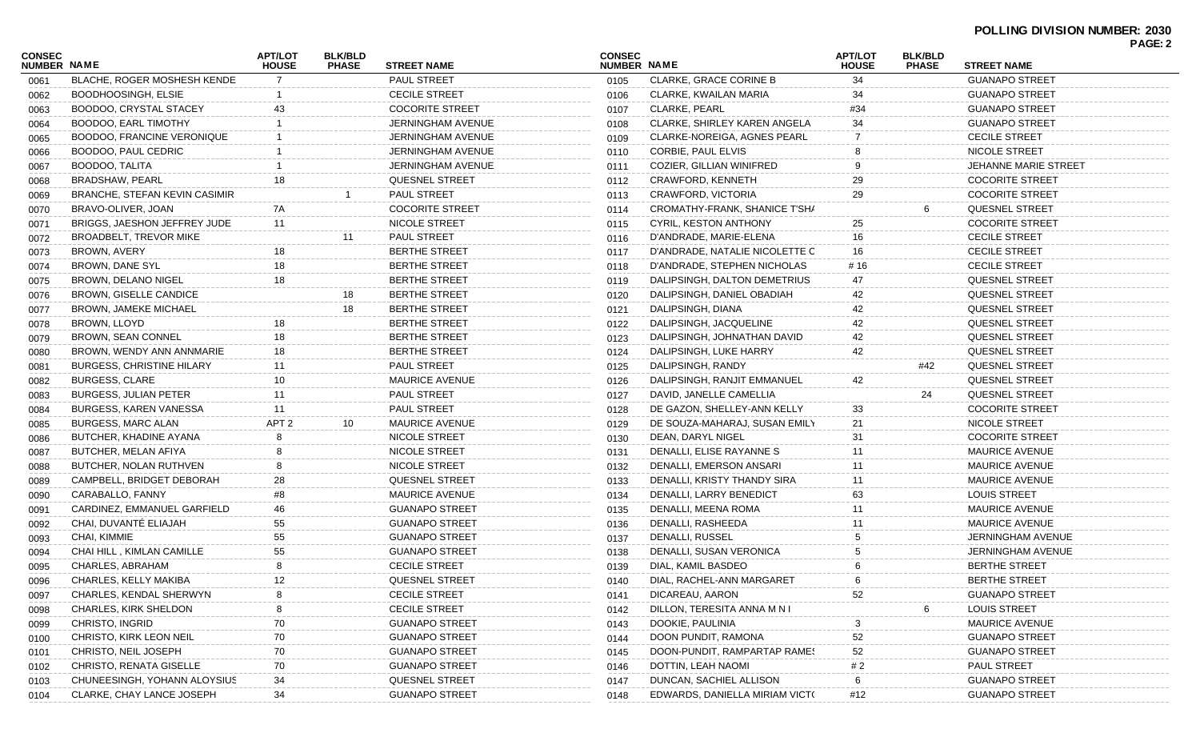|                              |                                      |                                |                                |                          |                              |                                     |                                |                                |                        | <b>PAGE: 2</b> |
|------------------------------|--------------------------------------|--------------------------------|--------------------------------|--------------------------|------------------------------|-------------------------------------|--------------------------------|--------------------------------|------------------------|----------------|
| <b>CONSEC</b><br>NUMBER NAME |                                      | <b>APT/LOT</b><br><b>HOUSE</b> | <b>BLK/BLD</b><br><b>PHASE</b> | <b>STREET NAME</b>       | <b>CONSEC</b><br>NUMBER NAME |                                     | <b>APT/LOT</b><br><b>HOUSE</b> | <b>BLK/BLD</b><br><b>PHASE</b> | <b>STREET NAME</b>     |                |
| 0061                         | BLACHE, ROGER MOSHESH KENDE          | 7                              |                                | <b>PAUL STREET</b>       | 0105                         | <b>CLARKE, GRACE CORINE B</b>       | 34                             |                                | <b>GUANAPO STREET</b>  |                |
| 0062                         | BOODHOOSINGH, ELSIE                  |                                |                                | <b>CECILE STREET</b>     | 0106                         | CLARKE, KWAILAN MARIA               | 34                             |                                | <b>GUANAPO STREET</b>  |                |
| 0063                         | BOODOO, CRYSTAL STACEY               | 43                             |                                | <b>COCORITE STREET</b>   | 0107                         | <b>CLARKE, PEARL</b>                | #34                            |                                | <b>GUANAPO STREET</b>  |                |
| 0064                         | BOODOO, EARL TIMOTHY                 |                                |                                | <b>JERNINGHAM AVENUE</b> | 0108                         | <b>CLARKE, SHIRLEY KAREN ANGELA</b> | 34                             |                                | <b>GUANAPO STREET</b>  |                |
| 0065                         | BOODOO, FRANCINE VERONIQUE           |                                |                                | <b>JERNINGHAM AVENUE</b> | 0109                         | CLARKE-NOREIGA, AGNES PEARL         |                                |                                | <b>CECILE STREET</b>   |                |
| 0066                         | BOODOO, PAUL CEDRIC                  |                                |                                | <b>JERNINGHAM AVENUE</b> | 0110                         | CORBIE, PAUL ELVIS                  |                                |                                | NICOLE STREET          |                |
| 0067                         | BOODOO, TALITA                       |                                |                                | <b>JERNINGHAM AVENUE</b> | 0111                         | COZIER, GILLIAN WINIFRED            |                                |                                | JEHANNE MARIE STREET   |                |
| 0068                         | <b>BRADSHAW, PEARL</b>               | 18                             |                                | <b>QUESNEL STREET</b>    | 0112                         | CRAWFORD, KENNETH                   | 29                             |                                | <b>COCORITE STREET</b> |                |
| 0069                         | <b>BRANCHE, STEFAN KEVIN CASIMIR</b> |                                |                                | <b>PAUL STREET</b>       | 0113                         | CRAWFORD, VICTORIA                  | 29                             |                                | <b>COCORITE STREET</b> |                |
| 0070                         | BRAVO-OLIVER, JOAN                   | 7A                             |                                | <b>COCORITE STREET</b>   | 0114                         | CROMATHY-FRANK, SHANICE T'SHA       |                                | 6                              | <b>QUESNEL STREET</b>  |                |
| 0071                         | BRIGGS, JAESHON JEFFREY JUDE         | 11                             |                                | NICOLE STREET            | 0115                         | CYRIL, KESTON ANTHONY               | 25                             |                                | <b>COCORITE STREET</b> |                |
| 0072                         | BROADBELT, TREVOR MIKE               |                                | 11                             | <b>PAUL STREET</b>       | 0116                         | D'ANDRADE, MARIE-ELENA              | 16                             |                                | <b>CECILE STREET</b>   |                |
| 0073                         | BROWN, AVERY                         | 18                             |                                | <b>BERTHE STREET</b>     | 0117                         | D'ANDRADE, NATALIE NICOLETTE C      | 16                             |                                | <b>CECILE STREET</b>   |                |
| 0074                         | BROWN, DANE SYL                      | 18                             |                                | <b>BERTHE STREET</b>     | 0118                         | D'ANDRADE, STEPHEN NICHOLAS         | # 16                           |                                | <b>CECILE STREET</b>   |                |
| 0075                         | BROWN, DELANO NIGEL                  | 18                             |                                | <b>BERTHE STREET</b>     | 0119                         | DALIPSINGH, DALTON DEMETRIUS        | 47                             |                                | <b>QUESNEL STREET</b>  |                |
| 0076                         | BROWN, GISELLE CANDICE               |                                | 18                             | <b>BERTHE STREET</b>     | 0120                         | DALIPSINGH, DANIEL OBADIAH          | 42                             |                                | <b>QUESNEL STREET</b>  |                |
| 0077                         | <b>BROWN, JAMEKE MICHAEL</b>         |                                | 18                             | <b>BERTHE STREET</b>     | 0121                         | DALIPSINGH, DIANA                   | 42                             |                                | QUESNEL STREET         |                |
| 0078                         | BROWN, LLOYD                         | 18                             |                                | <b>BERTHE STREET</b>     | 0122                         | DALIPSINGH, JACQUELINE              | 42                             |                                | <b>QUESNEL STREET</b>  |                |
| 0079                         | <b>BROWN, SEAN CONNEL</b>            | 18                             |                                | <b>BERTHE STREET</b>     | 0123                         | DALIPSINGH, JOHNATHAN DAVID         | 42                             |                                | <b>QUESNEL STREET</b>  |                |
| 0080                         | BROWN, WENDY ANN ANNMARIE            | 18                             |                                | <b>BERTHE STREET</b>     | 0124                         | DALIPSINGH, LUKE HARRY              | 42                             |                                | QUESNEL STREET         |                |
| 0081                         | <b>BURGESS, CHRISTINE HILARY</b>     | 11                             |                                | <b>PAUL STREET</b>       | 0125                         | DALIPSINGH, RANDY                   |                                | #42                            | <b>QUESNEL STREET</b>  |                |
| 0082                         | <b>BURGESS, CLARE</b>                | 10                             |                                | <b>MAURICE AVENUE</b>    | 0126                         | DALIPSINGH, RANJIT EMMANUEL         | 42                             |                                | <b>QUESNEL STREET</b>  |                |
| 0083                         | <b>BURGESS, JULIAN PETER</b>         | 11                             |                                | PAUL STREET              | 0127                         | DAVID, JANELLE CAMELLIA             |                                | 24                             | QUESNEL STREET         |                |
| 0084                         | BURGESS, KAREN VANESSA               | 11                             |                                | <b>PAUL STREET</b>       | 0128                         | DE GAZON, SHELLEY-ANN KELLY         | 33                             |                                | <b>COCORITE STREET</b> |                |
| 0085                         | <b>BURGESS, MARC ALAN</b>            | APT <sub>2</sub>               | 10                             | <b>MAURICE AVENUE</b>    | 0129                         | DE SOUZA-MAHARAJ, SUSAN EMILY       | 21                             |                                | NICOLE STREET          |                |
| 0086                         | BUTCHER, KHADINE AYANA               |                                |                                | NICOLE STREET            | 0130                         | DEAN, DARYL NIGEL                   | 31                             |                                | <b>COCORITE STREET</b> |                |
| 0087                         | BUTCHER, MELAN AFIYA                 |                                |                                | NICOLE STREET            | 0131                         | DENALLI, ELISE RAYANNE S            | 11                             |                                | <b>MAURICE AVENUE</b>  |                |
| 0088                         | BUTCHER, NOLAN RUTHVEN               |                                |                                | NICOLE STREET            | 0132                         | DENALLI, EMERSON ANSARI             | 11                             |                                | <b>MAURICE AVENUE</b>  |                |
| 0089                         | CAMPBELL, BRIDGET DEBORAH            | 28                             |                                | QUESNEL STREET           | 0133                         | DENALLI, KRISTY THANDY SIRA         | 11                             |                                | <b>MAURICE AVENUE</b>  |                |
| 0090                         | CARABALLO, FANNY                     | #8                             |                                | <b>MAURICE AVENUE</b>    | 0134                         | DENALLI, LARRY BENEDICT             | 63                             |                                | <b>LOUIS STREET</b>    |                |
| 0091                         | CARDINEZ, EMMANUEL GARFIELD          | 46                             |                                | <b>GUANAPO STREET</b>    | 0135                         | DENALLI, MEENA ROMA                 | 11                             |                                | <b>MAURICE AVENUE</b>  |                |
| 0092                         | CHAI, DUVANTÉ ELIAJAH                | 55                             |                                | <b>GUANAPO STREET</b>    | 0136                         | DENALLI, RASHEEDA                   | 11                             |                                | <b>MAURICE AVENUE</b>  |                |
| 0093                         | CHAI, KIMMIE                         | 55                             |                                | <b>GUANAPO STREET</b>    | 0137                         | DENALLI, RUSSEL                     |                                |                                | JERNINGHAM AVENUE      |                |
| 0094                         | CHAI HILL, KIMLAN CAMILLE            | 55                             |                                | <b>GUANAPO STREET</b>    | 0138                         | DENALLI, SUSAN VERONICA             |                                |                                | JERNINGHAM AVENUE      |                |
| 0095                         | CHARLES, ABRAHAM                     | 8                              |                                | <b>CECILE STREET</b>     | 0139                         | DIAL, KAMIL BASDEO                  | 6                              |                                | <b>BERTHE STREET</b>   |                |
| 0096                         | CHARLES, KELLY MAKIBA                | 12                             |                                | QUESNEL STREET           | 0140                         | DIAL, RACHEL-ANN MARGARET           | 6                              |                                | <b>BERTHE STREET</b>   |                |
| 0097                         | CHARLES, KENDAL SHERWYN              |                                |                                | <b>CECILE STREET</b>     | 0141                         | DICAREAU, AARON                     | 52                             |                                | <b>GUANAPO STREET</b>  |                |
| 0098                         | CHARLES, KIRK SHELDON                |                                |                                | <b>CECILE STREET</b>     | 0142                         | DILLON, TERESITA ANNA M N I         |                                | 6                              | <b>LOUIS STREET</b>    |                |
| 0099                         | CHRISTO, INGRID                      | 70                             |                                | <b>GUANAPO STREET</b>    | 0143                         | DOOKIE, PAULINIA                    | 3                              |                                | <b>MAURICE AVENUE</b>  |                |
| 0100                         | CHRISTO, KIRK LEON NEIL              | 70                             |                                | <b>GUANAPO STREET</b>    | 0144                         | DOON PUNDIT, RAMONA                 | 52                             |                                | <b>GUANAPO STREET</b>  |                |
| 0101                         | CHRISTO, NEIL JOSEPH                 | 70                             |                                | <b>GUANAPO STREET</b>    | 0145                         | DOON-PUNDIT, RAMPARTAP RAMES        | 52                             |                                | <b>GUANAPO STREET</b>  |                |
| 0102                         | CHRISTO, RENATA GISELLE              | 70                             |                                | <b>GUANAPO STREET</b>    | 0146                         | DOTTIN, LEAH NAOMI                  | # 2                            |                                | PAUL STREET            |                |
| 0103                         | CHUNEESINGH, YOHANN ALOYSIUS         | 34                             |                                | <b>QUESNEL STREET</b>    | 0147                         | DUNCAN, SACHIEL ALLISON             |                                |                                | <b>GUANAPO STREET</b>  |                |
| 0104                         | CLARKE, CHAY LANCE JOSEPH            | 34                             |                                | <b>GUANAPO STREET</b>    | 0148                         | EDWARDS, DANIELLA MIRIAM VICT(      | #12                            |                                | <b>GUANAPO STREET</b>  |                |
|                              |                                      |                                |                                |                          |                              |                                     |                                |                                |                        |                |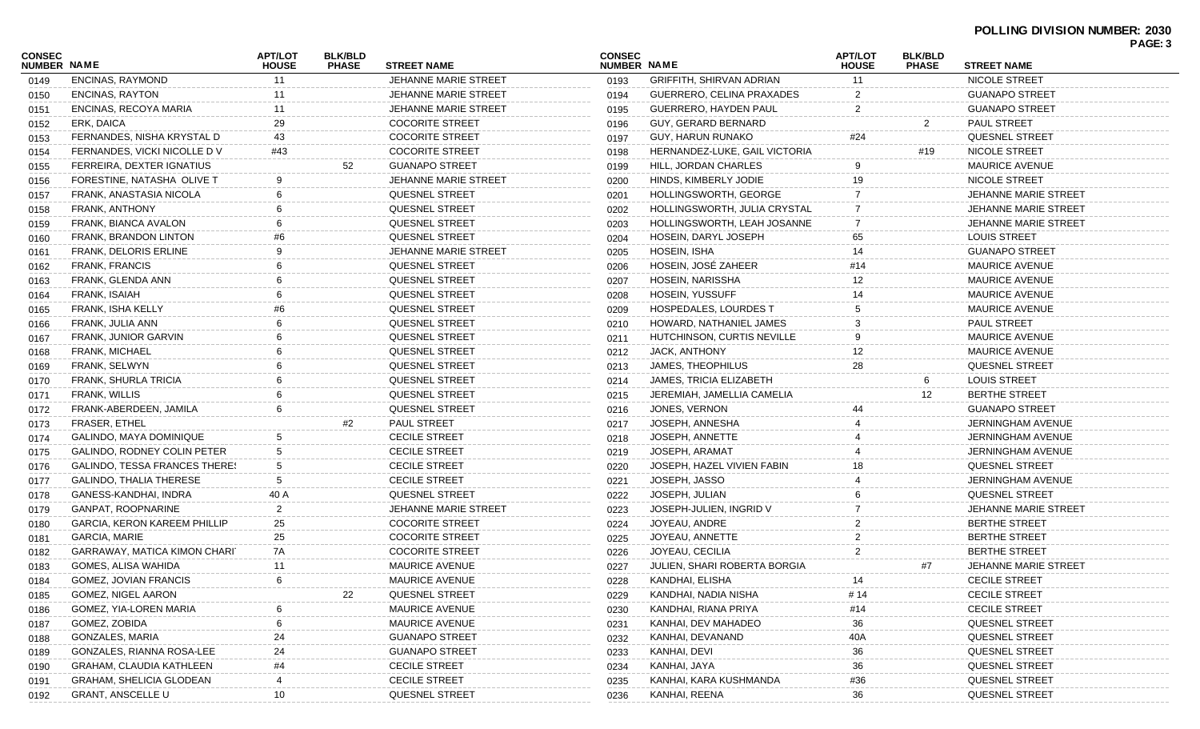| <b>CONSEC</b><br><b>NUMBER NAME</b> |                                      | <b>APT/LOT</b><br><b>HOUSE</b> | <b>BLK/BLD</b><br><b>PHASE</b> | <b>STREET NAME</b>          | <b>CONSEC</b><br>NUMBER NAME |                                 | <b>APT/LOT</b><br><b>HOUSE</b> | <b>BLK/BLD</b><br><b>PHASE</b> | <b>STREET NAME</b>          |  |
|-------------------------------------|--------------------------------------|--------------------------------|--------------------------------|-----------------------------|------------------------------|---------------------------------|--------------------------------|--------------------------------|-----------------------------|--|
| 0149                                | <b>ENCINAS, RAYMOND</b>              | 11                             |                                | <b>JEHANNE MARIE STREET</b> | 0193                         | <b>GRIFFITH, SHIRVAN ADRIAN</b> | 11                             |                                | NICOLE STREET               |  |
| 0150                                | <b>ENCINAS, RAYTON</b>               | 11                             |                                | <b>JEHANNE MARIE STREET</b> | 0194                         | GUERRERO, CELINA PRAXADES       |                                |                                | <b>GUANAPO STREET</b>       |  |
| 0151                                | <b>ENCINAS, RECOYA MARIA</b>         | 11                             |                                | JEHANNE MARIE STREET        | 0195                         | GUERRERO, HAYDEN PAUL           | 2                              |                                | <b>GUANAPO STREET</b>       |  |
| 0152                                | ERK, DAICA                           | 29                             |                                | <b>COCORITE STREET</b>      | 0196                         | GUY, GERARD BERNARD             |                                | $\overline{2}$                 | <b>PAUL STREET</b>          |  |
| 0153                                | FERNANDES, NISHA KRYSTAL D           | 43                             |                                | <b>COCORITE STREET</b>      | 0197                         | <b>GUY, HARUN RUNAKO</b>        | #24                            |                                | <b>QUESNEL STREET</b>       |  |
| 0154                                | FERNANDES, VICKI NICOLLE DV          | #43                            |                                | <b>COCORITE STREET</b>      | 0198                         | HERNANDEZ-LUKE, GAIL VICTORIA   |                                | #19                            | NICOLE STREET               |  |
| 0155                                | FERREIRA, DEXTER IGNATIUS            |                                | 52                             | <b>GUANAPO STREET</b>       | 0199                         | HILL, JORDAN CHARLES            |                                |                                | <b>MAURICE AVENUE</b>       |  |
| 0156                                | FORESTINE, NATASHA OLIVE T           | 9                              |                                | <b>JEHANNE MARIE STREET</b> | 0200                         | HINDS, KIMBERLY JODIE           | 19                             |                                | NICOLE STREET               |  |
| 0157                                | FRANK, ANASTASIA NICOLA              |                                |                                | <b>QUESNEL STREET</b>       | 0201                         | HOLLINGSWORTH, GEORGE           |                                |                                | JEHANNE MARIE STREET        |  |
| 0158                                | FRANK, ANTHONY                       |                                |                                | <b>QUESNEL STREET</b>       | 0202                         | HOLLINGSWORTH, JULIA CRYSTAL    |                                |                                | <b>JEHANNE MARIE STREET</b> |  |
| 0159                                | FRANK, BIANCA AVALON                 |                                |                                | QUESNEL STREET              | 0203                         | HOLLINGSWORTH, LEAH JOSANNE     |                                |                                | <b>JEHANNE MARIE STREET</b> |  |
| 0160                                | FRANK, BRANDON LINTON                |                                |                                | <b>QUESNEL STREET</b>       | 0204                         | HOSEIN, DARYL JOSEPH            | 65                             |                                | <b>LOUIS STREET</b>         |  |
| 0161                                | <b>FRANK, DELORIS ERLINE</b>         |                                |                                | <b>JEHANNE MARIE STREET</b> | 0205                         | HOSEIN, ISHA                    |                                |                                | <b>GUANAPO STREET</b>       |  |
| 0162                                | <b>FRANK, FRANCIS</b>                |                                |                                | <b>QUESNEL STREET</b>       | 0206                         | HOSEIN, JOSÉ ZAHEER             |                                |                                | <b>MAURICE AVENUE</b>       |  |
| 0163                                | FRANK, GLENDA ANN                    |                                |                                | <b>QUESNEL STREET</b>       | 0207                         | HOSEIN, NARISSHA                |                                |                                | <b>MAURICE AVENUE</b>       |  |
| 0164                                | FRANK, ISAIAH                        |                                |                                | QUESNEL STREET              | 0208                         | <b>HOSEIN, YUSSUFF</b>          |                                |                                | <b>MAURICE AVENUE</b>       |  |
| 0165                                | <b>FRANK, ISHA KELLY</b>             |                                |                                | <b>QUESNEL STREET</b>       | 0209                         | <b>HOSPEDALES, LOURDES T</b>    |                                |                                | <b>MAURICE AVENUE</b>       |  |
| 0166                                | FRANK, JULIA ANN                     |                                |                                | <b>QUESNEL STREET</b>       | 0210                         | HOWARD, NATHANIEL JAMES         |                                |                                | <b>PAUL STREET</b>          |  |
| 0167                                | FRANK, JUNIOR GARVIN                 |                                |                                | <b>QUESNEL STREET</b>       | 0211                         | HUTCHINSON, CURTIS NEVILLE      |                                |                                | <b>MAURICE AVENUE</b>       |  |
| 0168                                | FRANK, MICHAEL                       |                                |                                | QUESNEL STREET              | 0212                         | JACK, ANTHONY                   | 12                             |                                | <b>MAURICE AVENUE</b>       |  |
| 0169                                | FRANK, SELWYN                        |                                |                                | <b>QUESNEL STREET</b>       | 0213                         | JAMES, THEOPHILUS               | 28                             |                                | <b>QUESNEL STREET</b>       |  |
| 0170                                | FRANK, SHURLA TRICIA                 |                                |                                | <b>QUESNEL STREET</b>       | 0214                         | <b>JAMES, TRICIA ELIZABETH</b>  |                                | 6                              | <b>LOUIS STREET</b>         |  |
| 0171                                | <b>FRANK, WILLIS</b>                 |                                |                                | <b>QUESNEL STREET</b>       | 0215                         | JEREMIAH, JAMELLIA CAMELIA      |                                | 12 <sup>°</sup>                | <b>BERTHE STREET</b>        |  |
| 0172                                | FRANK-ABERDEEN, JAMILA               |                                |                                | QUESNEL STREET              | 0216                         | JONES, VERNON                   |                                |                                | <b>GUANAPO STREET</b>       |  |
| 0173                                | <b>FRASER, ETHEL</b>                 |                                | #2                             | PAUL STREET                 | 0217                         | JOSEPH, ANNESHA                 |                                |                                | <b>JERNINGHAM AVENUE</b>    |  |
| 0174                                | GALINDO, MAYA DOMINIQUE              |                                |                                | <b>CECILE STREET</b>        | 0218                         | JOSEPH, ANNETTE                 |                                |                                | <b>JERNINGHAM AVENUE</b>    |  |
| 0175                                | GALINDO, RODNEY COLIN PETER          | 5                              |                                | <b>CECILE STREET</b>        | 0219                         | JOSEPH, ARAMAT                  |                                |                                | JERNINGHAM AVENUE           |  |
| 0176                                | <b>GALINDO, TESSA FRANCES THERES</b> | 5                              |                                | <b>CECILE STREET</b>        | 0220                         | JOSEPH, HAZEL VIVIEN FABIN      |                                |                                | <b>QUESNEL STREET</b>       |  |
| 0177                                | GALINDO, THALIA THERESE              |                                |                                | <b>CECILE STREET</b>        | 0221                         | JOSEPH, JASSO                   |                                |                                | JERNINGHAM AVENUE           |  |
| 0178                                | GANESS-KANDHAI, INDRA                | 40 A                           |                                | <b>QUESNEL STREET</b>       | 0222                         | JOSEPH, JULIAN                  |                                |                                | <b>QUESNEL STREET</b>       |  |
| 0179                                | <b>GANPAT, ROOPNARINE</b>            | 2                              |                                | <b>JEHANNE MARIE STREET</b> | 0223                         | JOSEPH-JULIEN, INGRID V         |                                |                                | JEHANNE MARIE STREET        |  |
| 0180                                | <b>GARCIA, KERON KAREEM PHILLIP</b>  | 25                             |                                | <b>COCORITE STREET</b>      | 0224                         | JOYEAU, ANDRE                   |                                |                                | <b>BERTHE STREET</b>        |  |
| 0181                                | <b>GARCIA, MARIE</b>                 | 25                             |                                | <b>COCORITE STREET</b>      | 0225                         | JOYEAU, ANNETTE                 |                                |                                | BERTHE STREET               |  |
| 0182                                | GARRAWAY, MATICA KIMON CHARI         | 7A                             |                                | <b>COCORITE STREET</b>      | 0226                         | JOYEAU, CECILIA                 |                                |                                | <b>BERTHE STREET</b>        |  |
| 0183                                | GOMES, ALISA WAHIDA                  | 11                             |                                | <b>MAURICE AVENUE</b>       | 0227                         | JULIEN, SHARI ROBERTA BORGIA    |                                | #7                             | JEHANNE MARIE STREET        |  |
| 0184                                | GOMEZ, JOVIAN FRANCIS                |                                |                                | MAURICE AVENUE              | 0228                         | KANDHAI, ELISHA                 |                                |                                | CECILE STREET               |  |
| 0185                                | GOMEZ, NIGEL AARON                   |                                | 22                             | QUESNEL STREET              | 0229                         | KANDHAI, NADIA NISHA            | # 14                           |                                | <b>CECILE STREET</b>        |  |
| 0186                                | GOMEZ, YIA-LOREN MARIA               |                                |                                | <b>MAURICE AVENUE</b>       | 0230                         | KANDHAI, RIANA PRIYA            | #14                            |                                | <b>CECILE STREET</b>        |  |
| 0187                                | GOMEZ, ZOBIDA                        |                                |                                | <b>MAURICE AVENUE</b>       | 0231                         | KANHAI, DEV MAHADEO             | 36                             |                                | QUESNEL STREET              |  |
| 0188                                | GONZALES, MARIA                      | 24                             |                                | <b>GUANAPO STREET</b>       | 0232                         | KANHAI, DEVANAND                | 40A                            |                                | QUESNEL STREET              |  |
| 0189                                | GONZALES, RIANNA ROSA-LEE            | 24                             |                                | <b>GUANAPO STREET</b>       | 0233                         | KANHAI, DEVI                    | 36                             |                                | QUESNEL STREET              |  |
| 0190                                | <b>GRAHAM, CLAUDIA KATHLEEN</b>      | #4                             |                                | <b>CECILE STREET</b>        | 0234                         | KANHAI, JAYA                    | 36                             |                                | QUESNEL STREET              |  |
| 0191                                | GRAHAM, SHELICIA GLODEAN             |                                |                                | <b>CECILE STREET</b>        | 0235                         | KANHAI, KARA KUSHMANDA          | #36                            |                                | QUESNEL STREET              |  |
| 0192                                | <b>GRANT, ANSCELLE U</b>             | 10                             |                                | QUESNEL STREET              | 0236                         | KANHAI, REENA                   | 36                             |                                | QUESNEL STREET              |  |
|                                     |                                      |                                |                                |                             |                              |                                 |                                |                                |                             |  |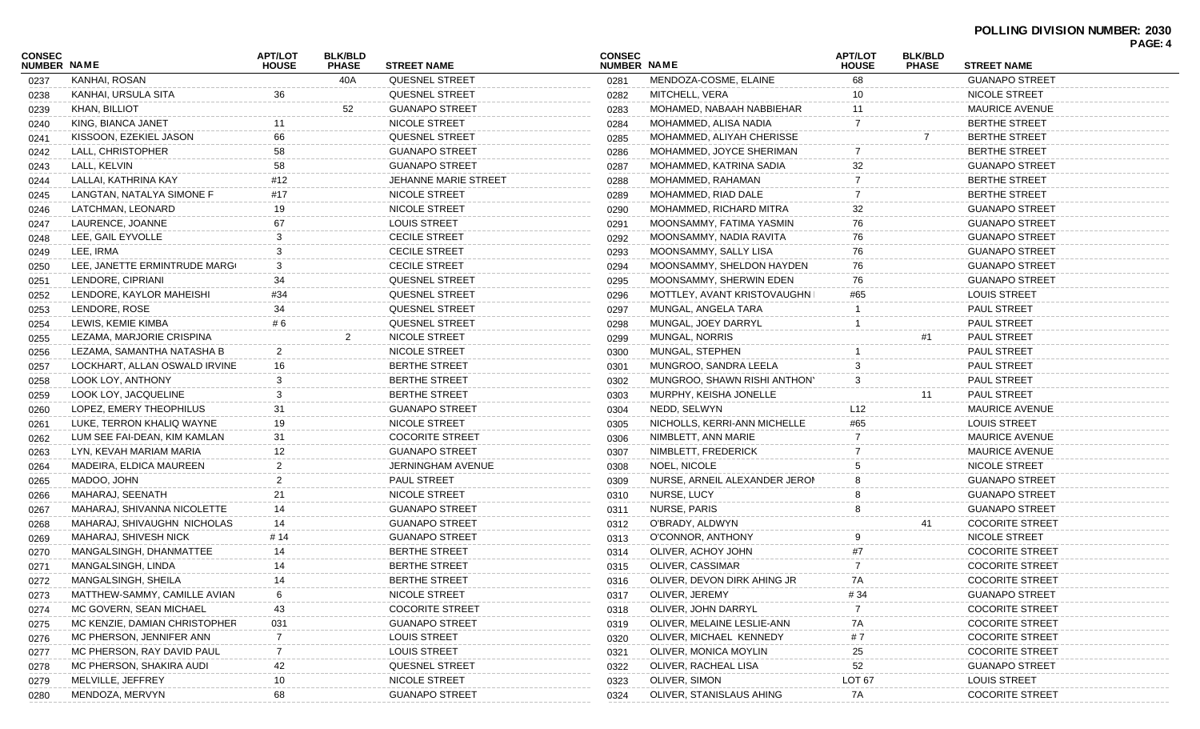|                              |                               |                                |                                |                             |                              |                               |                                |                                |                        | PAGE: 4 |
|------------------------------|-------------------------------|--------------------------------|--------------------------------|-----------------------------|------------------------------|-------------------------------|--------------------------------|--------------------------------|------------------------|---------|
| <b>CONSEC</b><br>NUMBER NAME |                               | <b>APT/LOT</b><br><b>HOUSE</b> | <b>BLK/BLD</b><br><b>PHASE</b> | <b>STREET NAME</b>          | <b>CONSEC</b><br>NUMBER NAME |                               | <b>APT/LOT</b><br><b>HOUSE</b> | <b>BLK/BLD</b><br><b>PHASE</b> | <b>STREET NAME</b>     |         |
| 0237                         | KANHAI, ROSAN                 |                                | 40A                            | <b>QUESNEL STREET</b>       | 0281                         | MENDOZA-COSME, ELAINE         | 68                             |                                | <b>GUANAPO STREET</b>  |         |
| 0238                         | KANHAI, URSULA SITA           | 36                             |                                | <b>QUESNEL STREET</b>       | 0282                         | MITCHELL, VERA                | 10                             |                                | NICOLE STREET          |         |
| 0239                         | KHAN, BILLIOT                 |                                | 52                             | <b>GUANAPO STREET</b>       | 0283                         | MOHAMED, NABAAH NABBIEHAR     | 11                             |                                | <b>MAURICE AVENUE</b>  |         |
| 0240                         | KING, BIANCA JANET            | 11                             |                                | NICOLE STREET               | 0284                         | MOHAMMED, ALISA NADIA         |                                |                                | <b>BERTHE STREET</b>   |         |
| 0241                         | KISSOON, EZEKIEL JASON        | 66                             |                                | <b>QUESNEL STREET</b>       | 0285                         | MOHAMMED, ALIYAH CHERISSE     |                                |                                | <b>BERTHE STREET</b>   |         |
| 0242                         | LALL, CHRISTOPHER             | 58                             |                                | <b>GUANAPO STREET</b>       | 0286                         | MOHAMMED, JOYCE SHERIMAN      |                                |                                | <b>BERTHE STREET</b>   |         |
| 0243                         | LALL, KELVIN                  | 58                             |                                | <b>GUANAPO STREET</b>       | 0287                         | MOHAMMED, KATRINA SADIA       | 32                             |                                | <b>GUANAPO STREET</b>  |         |
| 0244                         | LALLAI. KATHRINA KAY          | #12                            |                                | <b>JEHANNE MARIE STREET</b> | 0288                         | MOHAMMED, RAHAMAN             |                                |                                | <b>BERTHE STREET</b>   |         |
| 0245                         | LANGTAN, NATALYA SIMONE F     | #17                            |                                | NICOLE STREET               | 0289                         | MOHAMMED, RIAD DALE           |                                |                                | <b>BERTHE STREET</b>   |         |
| 0246                         | LATCHMAN, LEONARD             | 19                             |                                | NICOLE STREET               | 0290                         | MOHAMMED, RICHARD MITRA       | 32                             |                                | <b>GUANAPO STREET</b>  |         |
| 0247                         | LAURENCE, JOANNE              | 67                             |                                | <b>LOUIS STREET</b>         | 0291                         | MOONSAMMY, FATIMA YASMIN      | 76                             |                                | <b>GUANAPO STREET</b>  |         |
| 0248                         | LEE, GAIL EYVOLLE             | 3                              |                                | <b>CECILE STREET</b>        | 0292                         | MOONSAMMY, NADIA RAVITA       | 76                             |                                | <b>GUANAPO STREET</b>  |         |
| 0249                         | LEE, IRMA                     | 3                              |                                | <b>CECILE STREET</b>        | 0293                         | MOONSAMMY, SALLY LISA         | 76                             |                                | <b>GUANAPO STREET</b>  |         |
| 0250                         | LEE, JANETTE ERMINTRUDE MARG  | 3                              |                                | <b>CECILE STREET</b>        | 0294                         | MOONSAMMY, SHELDON HAYDEN     | 76                             |                                | <b>GUANAPO STREET</b>  |         |
| 0251                         | LENDORE, CIPRIANI             | 34                             |                                | QUESNEL STREET              | 0295                         | MOONSAMMY, SHERWIN EDEN       | 76                             |                                | <b>GUANAPO STREET</b>  |         |
| 0252                         | LENDORE, KAYLOR MAHEISHI      | #34                            |                                | <b>QUESNEL STREET</b>       | 0296                         | MOTTLEY, AVANT KRISTOVAUGHN I | #65                            |                                | <b>LOUIS STREET</b>    |         |
| 0253                         | LENDORE, ROSE                 | 34                             |                                | QUESNEL STREET              | 0297                         | MUNGAL, ANGELA TARA           |                                |                                | PAUL STREET            |         |
| 0254                         | LEWIS, KEMIE KIMBA            | # 6                            |                                | <b>QUESNEL STREET</b>       | 0298                         | MUNGAL, JOEY DARRYL           |                                |                                | <b>PAUL STREET</b>     |         |
| 0255                         | LEZAMA, MARJORIE CRISPINA     |                                | 2                              | NICOLE STREET               | 0299                         | MUNGAL, NORRIS                |                                |                                | PAUL STREET            |         |
| 0256                         | LEZAMA, SAMANTHA NATASHA B    | 2                              |                                | NICOLE STREET               | 0300                         | MUNGAL, STEPHEN               |                                |                                | <b>PAUL STREET</b>     |         |
| 0257                         | LOCKHART, ALLAN OSWALD IRVINE | 16                             |                                | <b>BERTHE STREET</b>        | 0301                         | MUNGROO, SANDRA LEELA         |                                |                                | <b>PAUL STREET</b>     |         |
| 0258                         | LOOK LOY, ANTHONY             | 3                              |                                | <b>BERTHE STREET</b>        | 0302                         | MUNGROO, SHAWN RISHI ANTHON'  | 3                              |                                | PAUL STREET            |         |
| 0259                         | LOOK LOY, JACQUELINE          | 3                              |                                | <b>BERTHE STREET</b>        | 0303                         | MURPHY, KEISHA JONELLE        |                                | 11                             | PAUL STREET            |         |
| 0260                         | LOPEZ, EMERY THEOPHILUS       | 31                             |                                | <b>GUANAPO STREET</b>       | 0304                         | NEDD, SELWYN                  | L12                            |                                | <b>MAURICE AVENUE</b>  |         |
| 0261                         | LUKE, TERRON KHALIQ WAYNE     | 19                             |                                | NICOLE STREET               | 0305                         | NICHOLLS, KERRI-ANN MICHELLE  | #65                            |                                | <b>LOUIS STREET</b>    |         |
| 0262                         | LUM SEE FAI-DEAN, KIM KAMLAN  | 31                             |                                | <b>COCORITE STREET</b>      | 0306                         | NIMBLETT, ANN MARIE           |                                |                                | <b>MAURICE AVENUE</b>  |         |
| 0263                         | LYN, KEVAH MARIAM MARIA       | 12                             |                                | <b>GUANAPO STREET</b>       | 0307                         | NIMBLETT, FREDERICK           |                                |                                | <b>MAURICE AVENUE</b>  |         |
| 0264                         | MADEIRA, ELDICA MAUREEN       | 2                              |                                | JERNINGHAM AVENUE           | 0308                         | NOEL, NICOLE                  |                                |                                | NICOLE STREET          |         |
| 0265                         | MADOO, JOHN                   | 2                              |                                | PAUL STREET                 | 0309                         | NURSE, ARNEIL ALEXANDER JERON |                                |                                | <b>GUANAPO STREET</b>  |         |
| 0266                         | MAHARAJ, SEENATH              | 21                             |                                | NICOLE STREET               | 0310                         | NURSE, LUCY                   |                                |                                | <b>GUANAPO STREET</b>  |         |
| 0267                         | MAHARAJ, SHIVANNA NICOLETTE   | 14                             |                                | <b>GUANAPO STREET</b>       | 0311                         | NURSE, PARIS                  |                                |                                | <b>GUANAPO STREET</b>  |         |
| 0268                         | MAHARAJ, SHIVAUGHN NICHOLAS   | 14                             |                                | <b>GUANAPO STREET</b>       | 0312                         | O'BRADY, ALDWYN               |                                | 41                             | <b>COCORITE STREET</b> |         |
| 0269                         | MAHARAJ, SHIVESH NICK         | # 14                           |                                | <b>GUANAPO STREET</b>       | 0313                         | O'CONNOR, ANTHONY             |                                |                                | NICOLE STREET          |         |
| 0270                         | MANGALSINGH, DHANMATTEE       | 14                             |                                | <b>BERTHE STREET</b>        | 0314                         | OLIVER, ACHOY JOHN            |                                |                                | <b>COCORITE STREET</b> |         |
|                              | MANGALSINGH, LINDA            | 14                             |                                | <b>BERTHE STREET</b>        | 0315                         | OLIVER, CASSIMAR              | 7                              |                                | <b>COCORITE STREET</b> |         |
| 0271                         | MANGALSINGH, SHEILA           | 14                             |                                | <b>BERTHE STREET</b>        |                              | OLIVER, DEVON DIRK AHING JR   | 7A                             |                                | <b>COCORITE STREET</b> |         |
| 0272                         | MATTHEW-SAMMY, CAMILLE AVIAN  |                                |                                | NICOLE STREET               | 0316                         | OLIVER, JEREMY                |                                |                                | <b>GUANAPO STREET</b>  |         |
| 0273                         |                               |                                |                                |                             | 0317                         |                               | # 34                           |                                |                        |         |
| 0274                         | MC GOVERN, SEAN MICHAEL       | 43                             |                                | <b>COCORITE STREET</b>      | 0318                         | OLIVER, JOHN DARRYL           |                                |                                | <b>COCORITE STREET</b> |         |
| 0275                         | MC KENZIE, DAMIAN CHRISTOPHER | 031                            |                                | <b>GUANAPO STREET</b>       | 0319                         | OLIVER, MELAINE LESLIE-ANN    | 7A                             |                                | <b>COCORITE STREET</b> |         |
| 0276                         | MC PHERSON, JENNIFER ANN      |                                |                                | <b>LOUIS STREET</b>         | 0320                         | OLIVER, MICHAEL KENNEDY       | #7                             |                                | <b>COCORITE STREET</b> |         |
| 0277                         | MC PHERSON, RAY DAVID PAUL    |                                |                                | <b>LOUIS STREET</b>         | 0321                         | OLIVER, MONICA MOYLIN         | 25                             |                                | <b>COCORITE STREET</b> |         |
| 0278                         | MC PHERSON, SHAKIRA AUDI      | 42                             |                                | QUESNEL STREET              | 0322                         | OLIVER, RACHEAL LISA          | 52                             |                                | <b>GUANAPO STREET</b>  |         |
| 0279                         | MELVILLE, JEFFREY             | 10                             |                                | NICOLE STREET               | 0323                         | OLIVER, SIMON                 | LOT <sub>67</sub>              |                                | <b>LOUIS STREET</b>    |         |
| 0280                         | MENDOZA, MERVYN               | 68                             |                                | <b>GUANAPO STREET</b>       | 0324                         | OLIVER, STANISLAUS AHING      | 7A                             |                                | <b>COCORITE STREET</b> |         |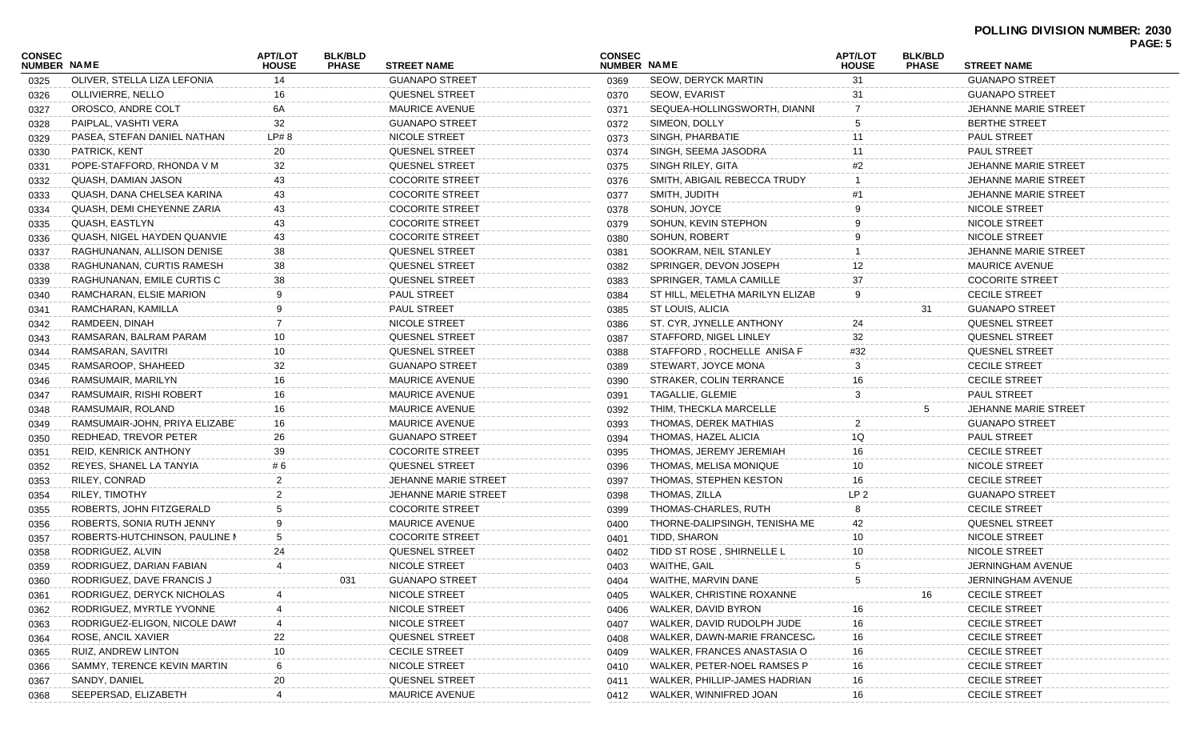| CONSEC<br><b>NUMBER NAME</b> |                                    | <b>APT/LOT</b><br><b>HOUSE</b> | <b>BLK/BLD</b><br><b>PHASE</b> | <b>STREET NAME</b>          | <b>CONSEC</b><br><b>NUMBER NAME</b> |                                 | <b>APT/LOT</b><br><b>HOUSE</b> | <b>BLK/BLD</b><br><b>PHASE</b> | <b>STREET NAME</b>          | PAGE: 5 |
|------------------------------|------------------------------------|--------------------------------|--------------------------------|-----------------------------|-------------------------------------|---------------------------------|--------------------------------|--------------------------------|-----------------------------|---------|
| 0325                         | OLIVER, STELLA LIZA LEFONIA        | 14                             |                                | <b>GUANAPO STREET</b>       | 0369                                | <b>SEOW, DERYCK MARTIN</b>      | 31                             |                                | <b>GUANAPO STREET</b>       |         |
| 0326                         | OLLIVIERRE, NELLO                  | 16                             |                                | <b>QUESNEL STREET</b>       | 0370                                | <b>SEOW, EVARIST</b>            | 31                             |                                | <b>GUANAPO STREET</b>       |         |
| 0327                         | OROSCO, ANDRE COLT                 | 6A                             |                                | <b>MAURICE AVENUE</b>       | 0371                                | SEQUEA-HOLLINGSWORTH, DIANNI    |                                |                                | JEHANNE MARIE STREET        |         |
|                              | PAIPLAL, VASHTI VERA               | 32                             |                                | <b>GUANAPO STREET</b>       | 0372                                | SIMEON, DOLLY                   |                                |                                | <b>BERTHE STREET</b>        |         |
| 0328                         | PASEA, STEFAN DANIEL NATHAN        | LP# 8                          |                                | NICOLE STREET               | 0373                                | SINGH, PHARBATIE                |                                |                                | <b>PAUL STREET</b>          |         |
| 0329                         | PATRICK, KENT                      | 20                             |                                | <b>QUESNEL STREET</b>       |                                     | SINGH, SEEMA JASODRA            | 11                             |                                | PAUL STREET                 |         |
| 0330                         | POPE-STAFFORD, RHONDA V M          | 32                             |                                | <b>QUESNEL STREET</b>       | 0374                                | SINGH RILEY, GITA               | #2                             |                                | JEHANNE MARIE STREET        |         |
| 0331                         | QUASH, DAMIAN JASON                | 43                             |                                | <b>COCORITE STREET</b>      | 0375                                | SMITH, ABIGAIL REBECCA TRUDY    |                                |                                | <b>JEHANNE MARIE STREET</b> |         |
| 0332                         | QUASH, DANA CHELSEA KARINA         |                                |                                | <b>COCORITE STREET</b>      | 0376                                | SMITH, JUDITH                   |                                |                                | JEHANNE MARIE STREET        |         |
| 0333                         |                                    | 43                             |                                |                             | 0377                                |                                 |                                |                                |                             |         |
| 0334                         | QUASH, DEMI CHEYENNE ZARIA         | 43                             |                                | <b>COCORITE STREET</b>      | 0378                                | SOHUN, JOYCE                    |                                |                                | NICOLE STREET               |         |
| 0335                         | QUASH, EASTLYN                     | 43                             |                                | <b>COCORITE STREET</b>      | 0379                                | SOHUN, KEVIN STEPHON            |                                |                                | NICOLE STREET               |         |
| 0336                         | <b>QUASH, NIGEL HAYDEN QUANVIE</b> | 43                             |                                | <b>COCORITE STREET</b>      | 0380                                | SOHUN, ROBERT                   |                                |                                | NICOLE STREET               |         |
| 0337                         | RAGHUNANAN, ALLISON DENISE         | 38                             |                                | <b>QUESNEL STREET</b>       | 0381                                | SOOKRAM, NEIL STANLEY           |                                |                                | JEHANNE MARIE STREET        |         |
| 0338                         | RAGHUNANAN, CURTIS RAMESH          | 38                             |                                | <b>QUESNEL STREET</b>       | 0382                                | SPRINGER, DEVON JOSEPH          | 12                             |                                | <b>MAURICE AVENUE</b>       |         |
| 0339                         | RAGHUNANAN, EMILE CURTIS C         | 38                             |                                | <b>QUESNEL STREET</b>       | 0383                                | SPRINGER, TAMLA CAMILLE         | 37                             |                                | <b>COCORITE STREET</b>      |         |
| 0340                         | RAMCHARAN, ELSIE MARION            | 9                              |                                | <b>PAUL STREET</b>          | 0384                                | ST HILL, MELETHA MARILYN ELIZAB | g                              |                                | <b>CECILE STREET</b>        |         |
| 0341                         | RAMCHARAN, KAMILLA                 | 9                              |                                | PAUL STREET                 | 0385                                | ST LOUIS, ALICIA                |                                | 31                             | <b>GUANAPO STREET</b>       |         |
| 0342                         | RAMDEEN, DINAH                     | 7                              |                                | NICOLE STREET               | 0386                                | ST. CYR, JYNELLE ANTHONY        | 24                             |                                | <b>QUESNEL STREET</b>       |         |
| 0343                         | RAMSARAN, BALRAM PARAM             | 10                             |                                | <b>QUESNEL STREET</b>       | 0387                                | STAFFORD, NIGEL LINLEY          | 32                             |                                | <b>QUESNEL STREET</b>       |         |
| 0344                         | RAMSARAN, SAVITRI                  | 10                             |                                | <b>QUESNEL STREET</b>       | 0388                                | STAFFORD, ROCHELLE ANISA F      | #32                            |                                | <b>QUESNEL STREET</b>       |         |
| 0345                         | RAMSAROOP, SHAHEED                 | 32                             |                                | <b>GUANAPO STREET</b>       | 0389                                | STEWART, JOYCE MONA             |                                |                                | <b>CECILE STREET</b>        |         |
| 0346                         | RAMSUMAIR, MARILYN                 | 16                             |                                | <b>MAURICE AVENUE</b>       | 0390                                | STRAKER, COLIN TERRANCE         | 16                             |                                | <b>CECILE STREET</b>        |         |
| 0347                         | RAMSUMAIR, RISHI ROBERT            | 16                             |                                | <b>MAURICE AVENUE</b>       | 0391                                | TAGALLIE, GLEMIE                | 3                              |                                | <b>PAUL STREET</b>          |         |
| 0348                         | RAMSUMAIR, ROLAND                  | 16                             |                                | <b>MAURICE AVENUE</b>       | 0392                                | THIM, THECKLA MARCELLE          |                                | 5                              | JEHANNE MARIE STREET        |         |
| 0349                         | RAMSUMAIR-JOHN, PRIYA ELIZABET     | 16                             |                                | <b>MAURICE AVENUE</b>       | 0393                                | THOMAS, DEREK MATHIAS           |                                |                                | <b>GUANAPO STREET</b>       |         |
| 0350                         | REDHEAD, TREVOR PETER              | 26                             |                                | <b>GUANAPO STREET</b>       | 0394                                | THOMAS, HAZEL ALICIA            | 1Q                             |                                | PAUL STREET                 |         |
| 0351                         | <b>REID, KENRICK ANTHONY</b>       | 39                             |                                | <b>COCORITE STREET</b>      | 0395                                | THOMAS, JEREMY JEREMIAH         | 16                             |                                | <b>CECILE STREET</b>        |         |
| 0352                         | REYES, SHANEL LA TANYIA            | # 6                            |                                | <b>QUESNEL STREET</b>       | 0396                                | THOMAS, MELISA MONIQUE          | 10                             |                                | NICOLE STREET               |         |
| 0353                         | RILEY, CONRAD                      |                                |                                | <b>JEHANNE MARIE STREET</b> | 0397                                | THOMAS, STEPHEN KESTON          | 16                             |                                | <b>CECILE STREET</b>        |         |
| 0354                         | RILEY, TIMOTHY                     |                                |                                | JEHANNE MARIE STREET        | 0398                                | THOMAS, ZILLA                   | LP <sub>2</sub>                |                                | <b>GUANAPO STREET</b>       |         |
| 0355                         | ROBERTS, JOHN FITZGERALD           | 5                              |                                | <b>COCORITE STREET</b>      | 0399                                | THOMAS-CHARLES, RUTH            |                                |                                | <b>CECILE STREET</b>        |         |
| 0356                         | ROBERTS, SONIA RUTH JENNY          | 9                              |                                | <b>MAURICE AVENUE</b>       | 0400                                | THORNE-DALIPSINGH, TENISHA ME   | 42                             |                                | <b>QUESNEL STREET</b>       |         |
| 0357                         | ROBERTS-HUTCHINSON, PAULINE M      | 5                              |                                | <b>COCORITE STREET</b>      | 0401                                | TIDD, SHARON                    | 10                             |                                | NICOLE STREET               |         |
| 0358                         | RODRIGUEZ, ALVIN                   | 24                             |                                | QUESNEL STREET              | 0402                                | TIDD ST ROSE, SHIRNELLE L       |                                |                                | NICOLE STREET               |         |
| 0359                         | RODRIGUEZ, DARIAN FABIAN           | 4                              |                                | NICOLE STREET               | 0403                                | WAITHE, GAIL                    | 5                              |                                | JERNINGHAM AVENUE           |         |
| 0360                         | RODRIGUEZ, DAVE FRANCIS J          |                                | 031                            | <b>GUANAPO STREET</b>       | 0404                                | WAITHE, MARVIN DANE             | 5                              |                                | JERNINGHAM AVENUE           |         |
| 0361                         | RODRIGUEZ, DERYCK NICHOLAS         |                                |                                | NICOLE STREET               | 0405                                | WALKER, CHRISTINE ROXANNE       |                                | 16                             | <b>CECILE STREET</b>        |         |
| 0362                         | RODRIGUEZ, MYRTLE YVONNE           |                                |                                | NICOLE STREET               | 0406                                | WALKER, DAVID BYRON             | 16                             |                                | <b>CECILE STREET</b>        |         |
| 0363                         | RODRIGUEZ-ELIGON, NICOLE DAWI      |                                |                                | NICOLE STREET               | 0407                                | WALKER, DAVID RUDOLPH JUDE      | 16                             |                                | <b>CECILE STREET</b>        |         |
| 0364                         | ROSE, ANCIL XAVIER                 | 22                             |                                | QUESNEL STREET              | 0408                                | WALKER, DAWN-MARIE FRANCESC/    | 16                             |                                | <b>CECILE STREET</b>        |         |
| 0365                         | RUIZ, ANDREW LINTON                | 10                             |                                | <b>CECILE STREET</b>        | 0409                                | WALKER, FRANCES ANASTASIA O     | 16                             |                                | <b>CECILE STREET</b>        |         |
| 0366                         | SAMMY, TERENCE KEVIN MARTIN        | 6                              |                                | NICOLE STREET               | 0410                                | WALKER, PETER-NOEL RAMSES P     | 16                             |                                | <b>CECILE STREET</b>        |         |
| 0367                         | SANDY, DANIEL                      | 20                             |                                | QUESNEL STREET              | 0411                                | WALKER, PHILLIP-JAMES HADRIAN   | 16                             |                                | <b>CECILE STREET</b>        |         |
| 0368                         | SEEPERSAD, ELIZABETH               |                                |                                | <b>MAURICE AVENUE</b>       | 0412                                | WALKER, WINNIFRED JOAN          | 16                             |                                | <b>CECILE STREET</b>        |         |
|                              |                                    |                                |                                |                             |                                     |                                 |                                |                                |                             |         |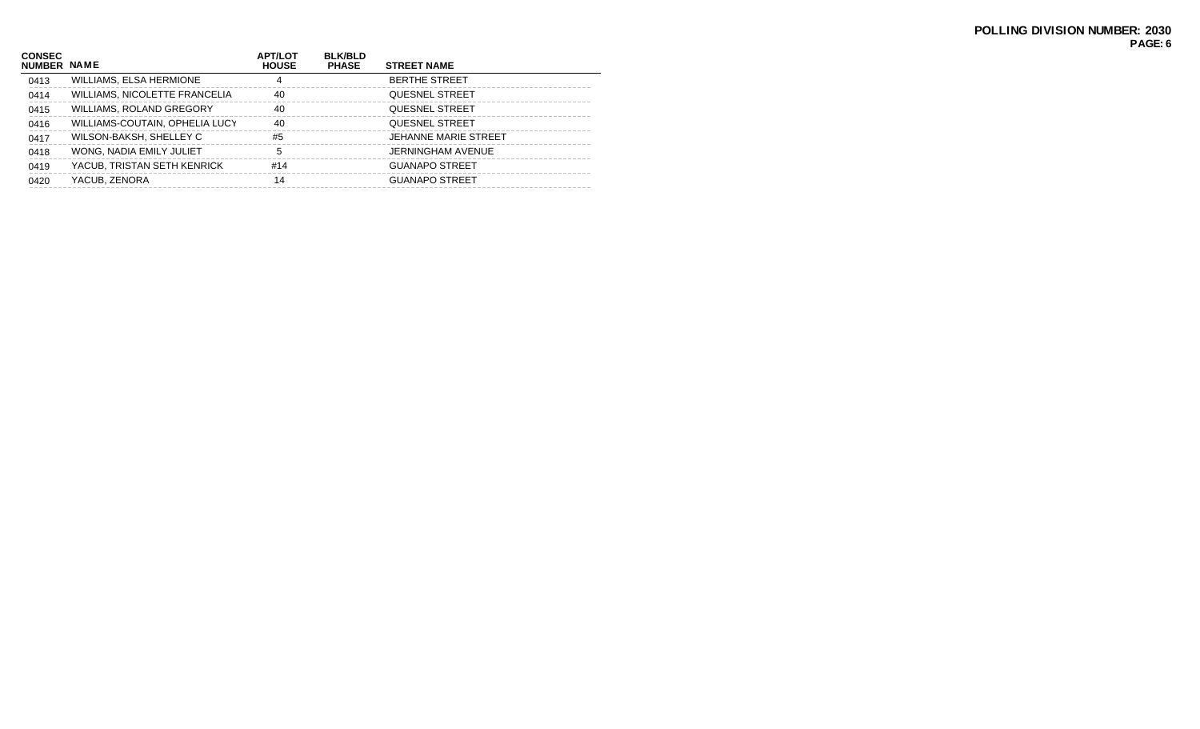| <b>CONSEC</b><br>NUMBER NAME |                                | <b>APT/LOT</b><br><b>HOUSE</b> | <b>BLK/BLD</b><br><b>PHASE</b> | <b>STREET NAME</b>          |
|------------------------------|--------------------------------|--------------------------------|--------------------------------|-----------------------------|
| 0413                         | WILLIAMS, ELSA HERMIONE        | 4                              |                                | <b>BERTHE STREET</b>        |
| 0414                         | WILLIAMS, NICOLETTE FRANCELIA  | 40                             |                                | <b>QUESNEL STREET</b>       |
| 0415                         | WILLIAMS, ROLAND GREGORY       | 40                             |                                | <b>QUESNEL STREET</b>       |
| 0416                         | WILLIAMS-COUTAIN, OPHELIA LUCY | 40                             |                                | <b>QUESNEL STREET</b>       |
| 0417                         | WILSON-BAKSH, SHELLEY C        | #5                             |                                | <b>JEHANNE MARIE STREET</b> |
| 0418                         | WONG, NADIA EMILY JULIET       | 5                              |                                | JERNINGHAM AVENUE           |
| 0419                         | YACUB, TRISTAN SETH KENRICK    | #14                            |                                | <b>GUANAPO STREET</b>       |
| 0420                         | YACUB, ZENORA                  | 14                             |                                | <b>GUANAPO STREET</b>       |